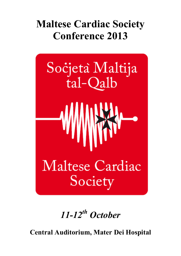# **Maltese Cardiac Society Conference 2013**



*11-12th October*

**Central Auditorium, Mater Dei Hospital**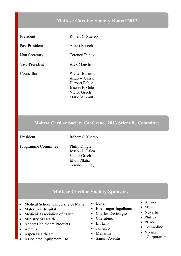#### **Maltese Cardiac Society Board 2013**

| President            | Robert G Xuereb                                                                                                           |
|----------------------|---------------------------------------------------------------------------------------------------------------------------|
| Past President       | Albert Fenech                                                                                                             |
| <b>Hon Secretary</b> | Terence Tilney                                                                                                            |
| Vice President       | Alex Manche                                                                                                               |
| Councillors          | <b>Walter Busuttil</b><br><b>Andrew Cassar</b><br><b>Herbert Felice</b><br>Joseph F. Galea<br>Victor Grech<br>Mark Sammut |

#### **Maltese Cardiac Society Conference 2013 Scientific Committee**

President Robert G Xuereb

Programme Committee Philip Dingli

Joseph J. Galea Victor Grech Elton Pllaha Terence Tilney

#### **Maltese Cardiac Society Sponsors**

- Medical School, University of Malta
- Mater Dei Hospital
- Medical Association of Malta
- Ministry of Health
- Abbott Healthcare Products
- $\bullet$  Actavis
- Aspen Healthcare
- Associated Equipment Ltd
- $\bullet$  Bayer
- $\bullet$  Boehringer-Ingelheim
- Charles DeGiorgio
- $\bullet$  Cherubino
- Eli Lilly
- Jamesco
- $\bullet$  Menarini
- $\bullet$  Sanofi-Aventis
- $\bullet$  Servier
- $\bullet$  MSD
- Novartis
- Philips
- $\bullet$  Pfizer
- $\bullet$  Technoline
- $\bullet$  Vivian
	- Corporation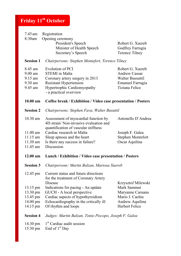## **Friday 11th October**

| 7.45 am<br>8:30am  | Registration                                                                                                           |                                                  |  |  |  |
|--------------------|------------------------------------------------------------------------------------------------------------------------|--------------------------------------------------|--|--|--|
|                    | Opening ceremony<br>President's Speech                                                                                 | Robert G. Xuereb                                 |  |  |  |
|                    | Minister of Health Speech                                                                                              | Godfrey Farrugia                                 |  |  |  |
|                    | Secretary's Speech                                                                                                     | <b>Terence Tilney</b>                            |  |  |  |
| <b>Session 1</b>   | Chairpersons: Stephen Montefort, Terence Tilney                                                                        |                                                  |  |  |  |
| 8.45 am            | Evolution of PCI                                                                                                       | Robert G. Xuereb                                 |  |  |  |
| $9.00$ am          | <b>STEMI</b> in Malta                                                                                                  | <b>Andrew Cassar</b>                             |  |  |  |
| $9.15$ am          | Coronary artery surgery in 2013                                                                                        | <b>Walter Bussuttil</b>                          |  |  |  |
| $9.30$ am          | <b>Resistant Hypertension</b>                                                                                          | <b>Emanuel Farrugia</b><br><b>Tiziana Felice</b> |  |  |  |
| 9.45 am            | Hypertrophic Cardiomyopathy<br>- a practical overview                                                                  |                                                  |  |  |  |
| $10.00$ am         | Coffee break / Exhibition / Video case presentation / Posters                                                          |                                                  |  |  |  |
| <b>Session 2</b>   | Chairpersons: Stephen Fava, Walter Busuttil                                                                            |                                                  |  |  |  |
| $10.30$ am         | Assessment of myocardial function by<br>4D strain/ Non-invasive evaluation and<br>quantification of vascular stiffness | Antonello D'Andrea                               |  |  |  |
| $11.00$ am         | Cardiac research in Malta                                                                                              | Joseph F. Galea                                  |  |  |  |
| $11.15$ am         | Sleep apnoea and the heart                                                                                             | Stephen Montefort                                |  |  |  |
| $11.30$ am         | Is there any success in failure?                                                                                       | Oscar Aquilina                                   |  |  |  |
| 11.45 am           | Discussion                                                                                                             |                                                  |  |  |  |
| $12.00$ am         | Lunch / Exhibition / Video case presentation / Posters                                                                 |                                                  |  |  |  |
| <b>Session 3</b>   | Chairpersons: Martin Balzan, Mariosa Xuereb                                                                            |                                                  |  |  |  |
| 12.45 pm           | Current status and future directions<br>for the treatment of Coronary Artery<br>Disease                                | Krzysztof Milewski                               |  |  |  |
| 13.15 pm           | Indications for pacing - An update                                                                                     | Mark Sammut                                      |  |  |  |
| 13.30 pm           | GUCH - A local perspective                                                                                             | Maryanne Caruana                                 |  |  |  |
| 13.45 pm           | Cardiac aspects of hypothyroidism                                                                                      | Mario J. Cachia                                  |  |  |  |
| $14.00 \text{ pm}$ | Echocardiography in the critically ill                                                                                 | Andrew Aquilina                                  |  |  |  |
| 14.15 pm           | Of rhythm and loops                                                                                                    | <b>Herbert Felice</b>                            |  |  |  |
| <b>Session 4</b>   | Judges: Martin Balzan, Tonio Piscopo, Joseph F. Galea                                                                  |                                                  |  |  |  |
| $14.30 \text{ pm}$ | 1 <sup>st</sup> Cardiac audit session                                                                                  |                                                  |  |  |  |
| 15.30 pm           | End of 1 <sup>st</sup> Day                                                                                             |                                                  |  |  |  |